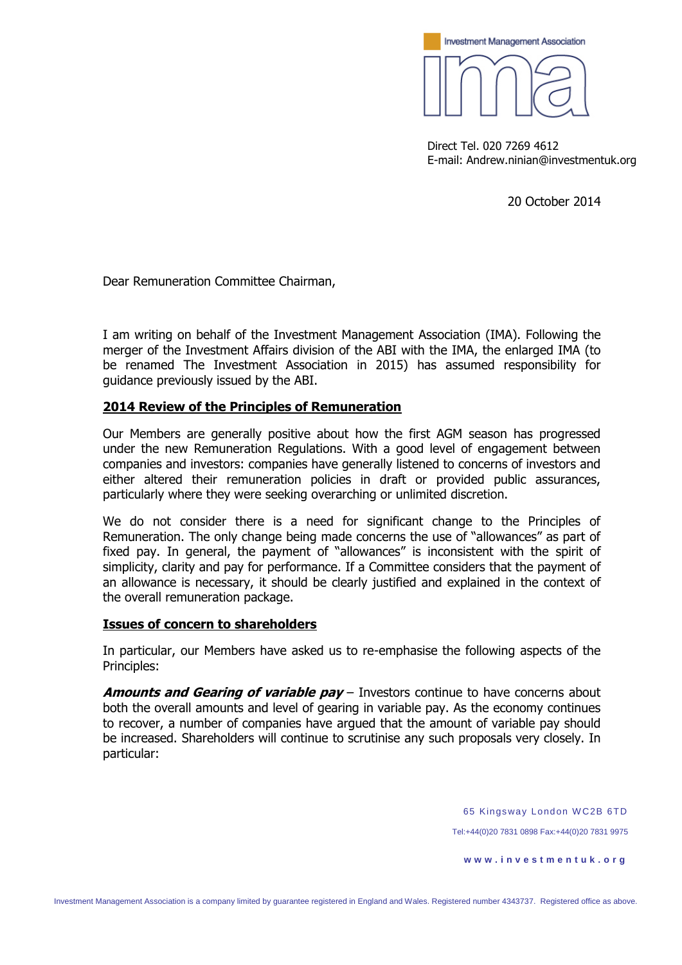

Direct Tel. 020 7269 4612 E-mail: Andrew.ninian@investmentuk.org

20 October 2014

Dear Remuneration Committee Chairman,

I am writing on behalf of the Investment Management Association (IMA). Following the merger of the Investment Affairs division of the ABI with the IMA, the enlarged IMA (to be renamed The Investment Association in 2015) has assumed responsibility for guidance previously issued by the ABI.

## **2014 Review of the Principles of Remuneration**

Our Members are generally positive about how the first AGM season has progressed under the new Remuneration Regulations. With a good level of engagement between companies and investors: companies have generally listened to concerns of investors and either altered their remuneration policies in draft or provided public assurances, particularly where they were seeking overarching or unlimited discretion.

We do not consider there is a need for significant change to the Principles of Remuneration. The only change being made concerns the use of "allowances" as part of fixed pay. In general, the payment of "allowances" is inconsistent with the spirit of simplicity, clarity and pay for performance. If a Committee considers that the payment of an allowance is necessary, it should be clearly justified and explained in the context of the overall remuneration package.

## **Issues of concern to shareholders**

In particular, our Members have asked us to re-emphasise the following aspects of the Principles:

**Amounts and Gearing of variable pay** – Investors continue to have concerns about both the overall amounts and level of gearing in variable pay. As the economy continues to recover, a number of companies have argued that the amount of variable pay should be increased. Shareholders will continue to scrutinise any such proposals very closely. In particular:

65 Kings way London W C2B 6TD

Tel:+44(0)20 7831 0898 Fax:+44(0)20 7831 9975

**w w w . i n v e s t m e n t u k . o r g**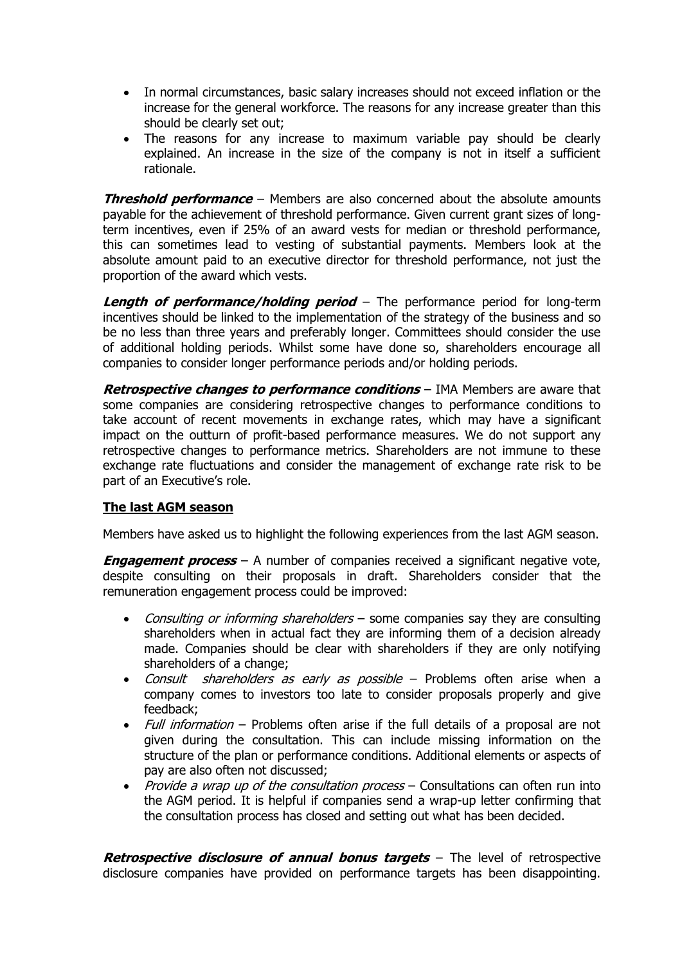- In normal circumstances, basic salary increases should not exceed inflation or the increase for the general workforce. The reasons for any increase greater than this should be clearly set out;
- The reasons for any increase to maximum variable pay should be clearly explained. An increase in the size of the company is not in itself a sufficient rationale.

**Threshold performance** – Members are also concerned about the absolute amounts payable for the achievement of threshold performance. Given current grant sizes of longterm incentives, even if 25% of an award vests for median or threshold performance, this can sometimes lead to vesting of substantial payments. Members look at the absolute amount paid to an executive director for threshold performance, not just the proportion of the award which vests.

**Length of performance/holding period** – The performance period for long-term incentives should be linked to the implementation of the strategy of the business and so be no less than three years and preferably longer. Committees should consider the use of additional holding periods. Whilst some have done so, shareholders encourage all companies to consider longer performance periods and/or holding periods.

**Retrospective changes to performance conditions** – IMA Members are aware that some companies are considering retrospective changes to performance conditions to take account of recent movements in exchange rates, which may have a significant impact on the outturn of profit-based performance measures. We do not support any retrospective changes to performance metrics. Shareholders are not immune to these exchange rate fluctuations and consider the management of exchange rate risk to be part of an Executive's role.

## **The last AGM season**

Members have asked us to highlight the following experiences from the last AGM season.

**Engagement process** – A number of companies received a significant negative vote, despite consulting on their proposals in draft. Shareholders consider that the remuneration engagement process could be improved:

- Consulting or informing shareholders some companies say they are consulting shareholders when in actual fact they are informing them of a decision already made. Companies should be clear with shareholders if they are only notifying shareholders of a change;
- Consult shareholders as early as possible Problems often arise when a company comes to investors too late to consider proposals properly and give feedback;
- Full information Problems often arise if the full details of a proposal are not given during the consultation. This can include missing information on the structure of the plan or performance conditions. Additional elements or aspects of pay are also often not discussed;
- Provide a wrap up of the consultation process Consultations can often run into the AGM period. It is helpful if companies send a wrap-up letter confirming that the consultation process has closed and setting out what has been decided.

**Retrospective disclosure of annual bonus targets** – The level of retrospective disclosure companies have provided on performance targets has been disappointing.